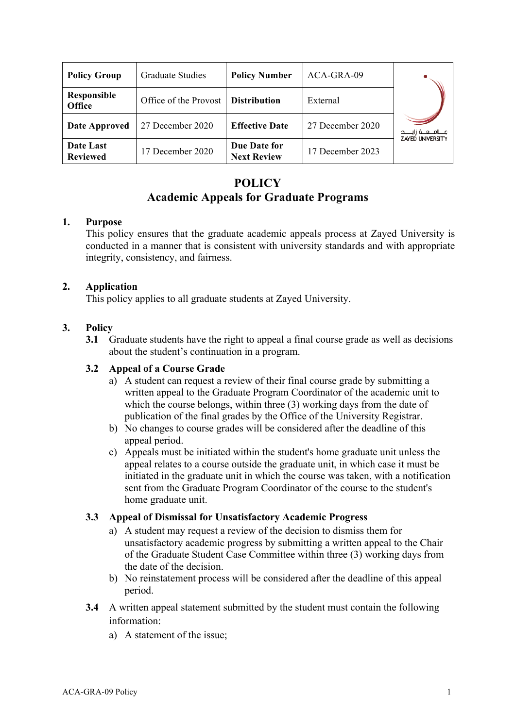| <b>Policy Group</b>          | <b>Graduate Studies</b> | <b>Policy Number</b>               | ACA-GRA-09       |                                                  |
|------------------------------|-------------------------|------------------------------------|------------------|--------------------------------------------------|
| Responsible<br><b>Office</b> | Office of the Provost   | <b>Distribution</b>                | External         |                                                  |
| <b>Date Approved</b>         | 27 December 2020        | <b>Effective Date</b>              | 27 December 2020 | جـــامــعــة زايــــد<br><b>ZAYED UNIVERSITY</b> |
| Date Last<br><b>Reviewed</b> | 17 December 2020        | Due Date for<br><b>Next Review</b> | 17 December 2023 |                                                  |

# **POLICY Academic Appeals for Graduate Programs**

### **1. Purpose**

This policy ensures that the graduate academic appeals process at Zayed University is conducted in a manner that is consistent with university standards and with appropriate integrity, consistency, and fairness.

### **2. Application**

This policy applies to all graduate students at Zayed University.

## **3. Policy**

**3.1** Graduate students have the right to appeal a final course grade as well as decisions about the student's continuation in a program.

# **3.2 Appeal of a Course Grade**

- a) A student can request a review of their final course grade by submitting a written appeal to the Graduate Program Coordinator of the academic unit to which the course belongs, within three (3) working days from the date of publication of the final grades by the Office of the University Registrar.
- b) No changes to course grades will be considered after the deadline of this appeal period.
- c) Appeals must be initiated within the student's home graduate unit unless the appeal relates to a course outside the graduate unit, in which case it must be initiated in the graduate unit in which the course was taken, with a notification sent from the Graduate Program Coordinator of the course to the student's home graduate unit.

### **3.3 Appeal of Dismissal for Unsatisfactory Academic Progress**

- a) A student may request a review of the decision to dismiss them for unsatisfactory academic progress by submitting a written appeal to the Chair of the Graduate Student Case Committee within three (3) working days from the date of the decision.
- b) No reinstatement process will be considered after the deadline of this appeal period.
- **3.4** A written appeal statement submitted by the student must contain the following information:
	- a) A statement of the issue;